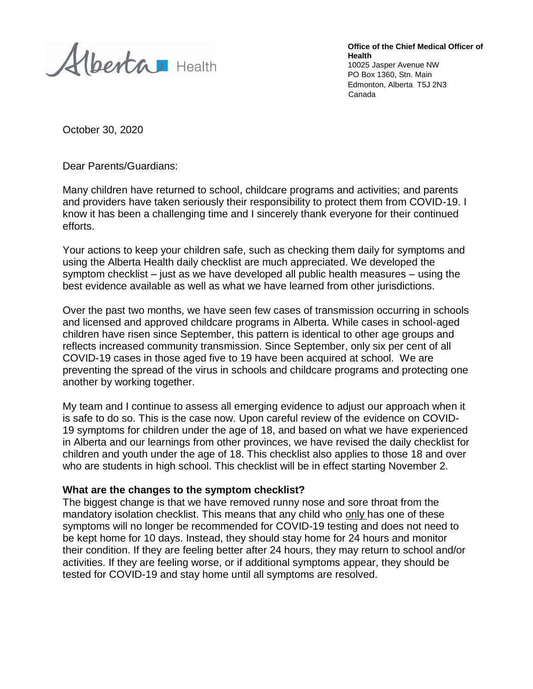Alberta Health

**Office of the Chief Medical Officer of Health** 10025 Jasper Avenue NW PO Box 1360, Stn. Main Edmonton, Alberta T5J 2N3 Canada

October 30, 2020

Dear Parents/Guardians:

Many children have returned to school, childcare programs and activities; and parents and providers have taken seriously their responsibility to protect them from COVID-19. I know it has been a challenging time and I sincerely thank everyone for their continued efforts.

Your actions to keep your children safe, such as checking them daily for symptoms and using the Alberta Health daily checklist are much appreciated. We developed the symptom checklist – just as we have developed all public health measures – using the best evidence available as well as what we have learned from other jurisdictions.

Over the past two months, we have seen few cases of transmission occurring in schools and licensed and approved childcare programs in Alberta. While cases in school-aged children have risen since September, this pattern is identical to other age groups and reflects increased community transmission. Since September, only six per cent of all COVID-19 cases in those aged five to 19 have been acquired at school. We are preventing the spread of the virus in schools and childcare programs and protecting one another by working together.

My team and I continue to assess all emerging evidence to adjust our approach when it is safe to do so. This is the case now. Upon careful review of the evidence on COVID-19 symptoms for children under the age of 18, and based on what we have experienced in Alberta and our learnings from other provinces, we have revised the daily checklist for children and youth under the age of 18. This checklist also applies to those 18 and over who are students in high school. This checklist will be in effect starting November 2.

## **What are the changes to the symptom checklist?**

The biggest change is that we have removed runny nose and sore throat from the mandatory isolation checklist. This means that any child who only has one of these symptoms will no longer be recommended for COVID-19 testing and does not need to be kept home for 10 days. Instead, they should stay home for 24 hours and monitor their condition. If they are feeling better after 24 hours, they may return to school and/or activities. If they are feeling worse, or if additional symptoms appear, they should be tested for COVID-19 and stay home until all symptoms are resolved.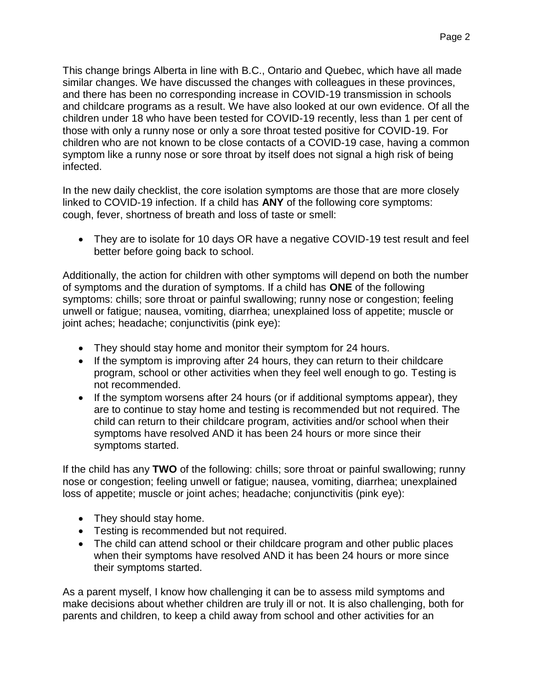This change brings Alberta in line with B.C., Ontario and Quebec, which have all made similar changes. We have discussed the changes with colleagues in these provinces, and there has been no corresponding increase in COVID-19 transmission in schools and childcare programs as a result. We have also looked at our own evidence. Of all the children under 18 who have been tested for COVID-19 recently, less than 1 per cent of those with only a runny nose or only a sore throat tested positive for COVID-19. For children who are not known to be close contacts of a COVID-19 case, having a common symptom like a runny nose or sore throat by itself does not signal a high risk of being infected.

In the new daily checklist, the core isolation symptoms are those that are more closely linked to COVID-19 infection. If a child has **ANY** of the following core symptoms: cough, fever, shortness of breath and loss of taste or smell:

• They are to isolate for 10 days OR have a negative COVID-19 test result and feel better before going back to school.

Additionally, the action for children with other symptoms will depend on both the number of symptoms and the duration of symptoms. If a child has **ONE** of the following symptoms: chills; sore throat or painful swallowing; runny nose or congestion; feeling unwell or fatigue; nausea, vomiting, diarrhea; unexplained loss of appetite; muscle or joint aches; headache; conjunctivitis (pink eye):

- They should stay home and monitor their symptom for 24 hours.
- If the symptom is improving after 24 hours, they can return to their childcare program, school or other activities when they feel well enough to go. Testing is not recommended.
- If the symptom worsens after 24 hours (or if additional symptoms appear), they are to continue to stay home and testing is recommended but not required. The child can return to their childcare program, activities and/or school when their symptoms have resolved AND it has been 24 hours or more since their symptoms started.

If the child has any **TWO** of the following: chills; sore throat or painful swallowing; runny nose or congestion; feeling unwell or fatigue; nausea, vomiting, diarrhea; unexplained loss of appetite; muscle or joint aches; headache; conjunctivitis (pink eye):

- They should stay home.
- Testing is recommended but not required.
- The child can attend school or their childcare program and other public places when their symptoms have resolved AND it has been 24 hours or more since their symptoms started.

As a parent myself, I know how challenging it can be to assess mild symptoms and make decisions about whether children are truly ill or not. It is also challenging, both for parents and children, to keep a child away from school and other activities for an